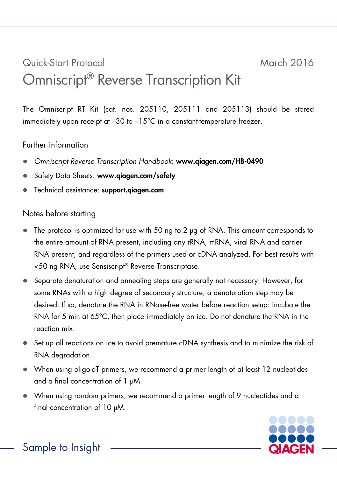## Quick-Start Protocol March 2016 Omniscript® Reverse Transcription Kit

The Omniscript RT Kit (cat. nos. 205110, 205111 and 205113) should be stored immediately upon receipt at  $-30$  to  $-15^{\circ}$ C in a constant-temperature freezer.

## Further information

- *Omniscript Reverse Transcription Handbook*: www.qiagen.com/HB-0490
- Safety Data Sheets: www.qiagen.com/safety
- Technical assistance: support.qiagen.com

## Notes before starting

- The protocol is optimized for use with 50 ng to 2 µg of RNA. This amount corresponds to the entire amount of RNA present, including any rRNA, mRNA, viral RNA and carrier RNA present, and regardless of the primers used or cDNA analyzed. For best results with <50 ng RNA, use Sensiscript® Reverse Transcriptase.
- Separate denaturation and annealing steps are generally not necessary. However, for some RNAs with a high degree of secondary structure, a denaturation step may be desired. If so, denature the RNA in RNase-free water before reaction setup: incubate the RNA for 5 min at 65°C, then place immediately on ice. Do not denature the RNA in the reaction mix.
- Set up all reactions on ice to avoid premature cDNA synthesis and to minimize the risk of RNA degradation.
- When using oligo-dT primers, we recommend a primer length of at least 12 nucleotides and a final concentration of 1 µM.
- When using random primers, we recommend a primer length of 9 nucleotides and a final concentration of 10 µM.



Sample to Insight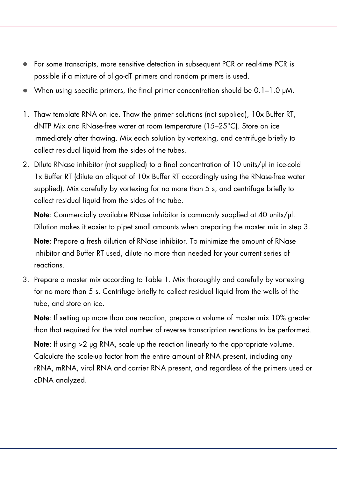- For some transcripts, more sensitive detection in subsequent PCR or real-time PCR is possible if a mixture of oligo-dT primers and random primers is used.
- When using specific primers, the final primer concentration should be  $0.1-1.0 \mu M$ .
- 1. Thaw template RNA on ice. Thaw the primer solutions (not supplied), 10x Buffer RT, dNTP Mix and RNase-free water at room temperature (15–25°C). Store on ice immediately after thawing. Mix each solution by vortexing, and centrifuge briefly to collect residual liquid from the sides of the tubes.
- 2. Dilute RNase inhibitor (not supplied) to a final concentration of 10 units/ul in ice-cold 1x Buffer RT (dilute an aliquot of 10x Buffer RT accordingly using the RNase-free water supplied). Mix carefully by vortexing for no more than 5 s, and centrifuge briefly to collect residual liquid from the sides of the tube.

Note: Commercially available RNase inhibitor is commonly supplied at 40 units/ul. Dilution makes it easier to pipet small amounts when preparing the master mix in step 3.

Note: Prepare a fresh dilution of RNase inhibitor. To minimize the amount of RNase inhibitor and Buffer RT used, dilute no more than needed for your current series of reactions.

3. Prepare a master mix according to Table 1. Mix thoroughly and carefully by vortexing for no more than 5 s. Centrifuge briefly to collect residual liquid from the walls of the tube, and store on ice.

Note: If setting up more than one reaction, prepare a volume of master mix 10% greater than that required for the total number of reverse transcription reactions to be performed.

Note: If using  $>2$  µg RNA, scale up the reaction linearly to the appropriate volume. Calculate the scale-up factor from the entire amount of RNA present, including any rRNA, mRNA, viral RNA and carrier RNA present, and regardless of the primers used or cDNA analyzed.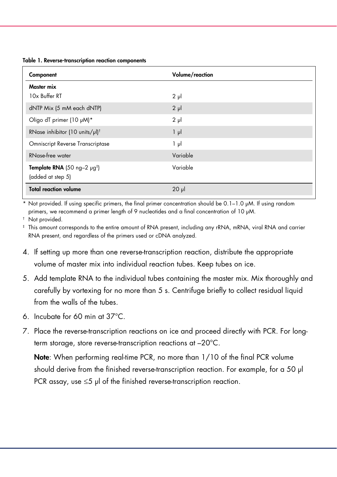Table 1. Reverse-transcription reaction components

| Component                                    | Volume/reaction |
|----------------------------------------------|-----------------|
| Master mix                                   |                 |
| 10x Buffer RT                                | $2 \mu$         |
| dNTP Mix (5 mM each dNTP)                    | $2 \mu$         |
| Oligo dT primer (10 µM)*                     | $2 \mu$         |
| RNase inhibitor (10 units/µl) <sup>t</sup>   | $1 \mu$         |
| <b>Omniscript Reverse Transcriptase</b>      | $1 \mu$         |
| <b>RNase-free water</b>                      | Variable        |
| Template RNA (50 ng-2 $\mu$ g <sup>‡</sup> ) | Variable        |
| (added at step 5)                            |                 |
| <b>Total reaction volume</b>                 | $20 \mu$        |

\* Not provided. If using specific primers, the final primer concentration should be 0.1–1.0 µM. If using random primers, we recommend a primer length of 9 nucleotides and a final concentration of 10 µM.

† Not provided.

‡ This amount corresponds to the entire amount of RNA present, including any rRNA, mRNA, viral RNA and carrier RNA present, and regardless of the primers used or cDNA analyzed.

- 4. If setting up more than one reverse-transcription reaction, distribute the appropriate volume of master mix into individual reaction tubes. Keep tubes on ice.
- 5. Add template RNA to the individual tubes containing the master mix. Mix thoroughly and carefully by vortexing for no more than 5 s. Centrifuge briefly to collect residual liquid from the walls of the tubes.
- 6. Incubate for 60 min at 37°C.
- 7. Place the reverse-transcription reactions on ice and proceed directly with PCR. For longterm storage, store reverse-transcription reactions at –20°C.

Note: When performing real-time PCR, no more than 1/10 of the final PCR volume should derive from the finished reverse-transcription reaction. For example, for a 50 µl PCR assay, use ≤5 µl of the finished reverse-transcription reaction.